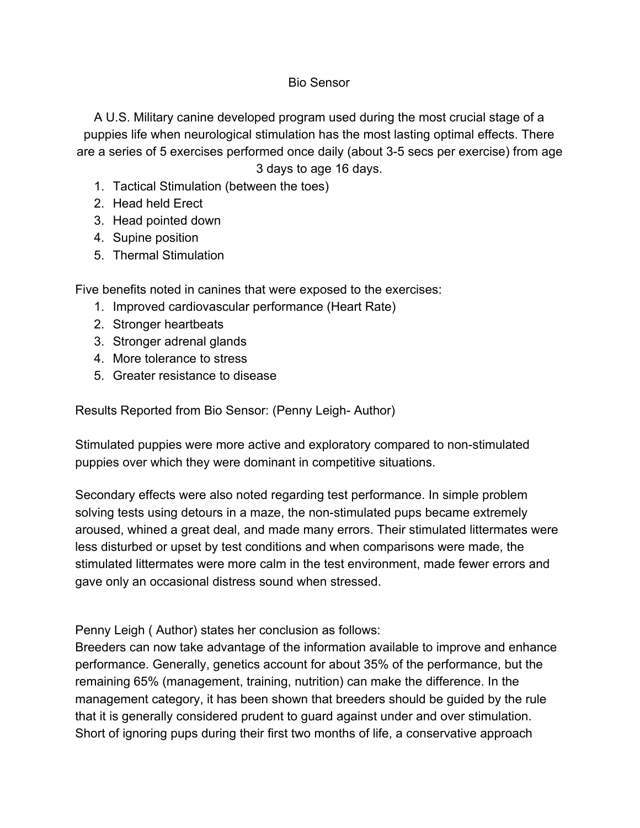## Bio Sensor

A U.S. Military canine developed program used during the most crucial stage of a puppies life when neurological stimulation has the most lasting optimal effects. There are a series of 5 exercises performed once daily (about 3-5 secs per exercise) from age 3 days to age 16 days.

- 1. Tactical Stimulation (between the toes)
- 2. Head held Erect
- 3. Head pointed down
- 4. Supine position
- 5. Thermal Stimulation

Five benefits noted in canines that were exposed to the exercises:

- 1. Improved cardiovascular performance (Heart Rate)
- 2. Stronger heartbeats
- 3. Stronger adrenal glands
- 4. More tolerance to stress
- 5. Greater resistance to disease

Results Reported from Bio Sensor: (Penny Leigh- Author)

Stimulated puppies were more active and exploratory compared to non-stimulated puppies over which they were dominant in competitive situations.

Secondary effects were also noted regarding test performance. In simple problem solving tests using detours in a maze, the non-stimulated pups became extremely aroused, whined a great deal, and made many errors. Their stimulated littermates were less disturbed or upset by test conditions and when comparisons were made, the stimulated littermates were more calm in the test environment, made fewer errors and gave only an occasional distress sound when stressed.

Penny Leigh ( Author) states her conclusion as follows:

Breeders can now take advantage of the information available to improve and enhance performance. Generally, genetics account for about 35% of the performance, but the remaining 65% (management, training, nutrition) can make the difference. In the management category, it has been shown that breeders should be guided by the rule that it is generally considered prudent to guard against under and over stimulation. Short of ignoring pups during their first two months of life, a conservative approach